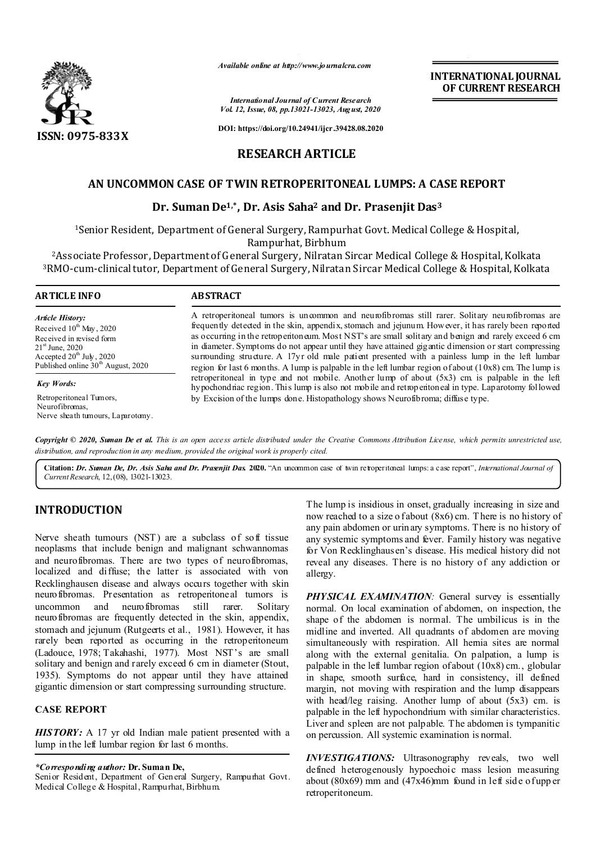

*Available online at http://www.journalcra.com*

*International Journal of Current Research Vol. 12, Issue, 08, pp.13021-13023, August, 2020*

**DOI: https://doi.org/10.24941/ijcr.39428.08.2020**

# **RESEARCH ARTICLE**

## **AN UNCOMMON CASE OF TWIN RETROPERITONEAL LUMPS: A CASE REPORT**

## **Dr. Suman De1,\*, Dr. Asis Saha2 and Dr. Prasenjit Das3**

1Senior Resident, Department of General Surgery, Rampurhat Govt. Medical College & Hospital, Rampurhat, Birbhum

2Associate Professor, Department of G eneral Surgery, Nilratan Sircar Medical College & Hospital, Kolkata 3RMO-cum-clinical tutor, Department of General Surgery, Nilratan Sircar Medical College & Hospital, Kolkata

# **ARTICLE INFO ABSTRACT**

#### *Article History: Article History:* Received  $10^{\text{th}}$  May, 2020 Received in revised form Received in revised form  $21<sup>st</sup>$  June, 2020 Accepted  $20^{\text{th}}$  July, 2020 Published online  $30<sup>th</sup>$  August, 2020

*Key Words:*

Retroperitoneal Tumors, Neurofibromas, Nerve sheath tumours, Laparotomy.

A retroperitoneal tumors is uncommon and neurofibromas still rarer. Solitary neurofibromas are frequently detected in the skin, appendix, stomach and jejunum. However, it has rarely been reported as occurring in the retroperitoneum. Most NST's are small solitary and benign and rarely exceed 6 cm in diameter. Symptoms do not appear until they have attained gigantic dimension or start compressing surrounding structure. A 17yr old male patient presented with a painless lump in the left lumbar region for last 6 months. A lump is palpable in the left lumbar region of about (10x8) cm. The lump is retroperitoneal in type and not mobile. Another lump of about (5x3) cm. is palpable in the left hypochondriac region. This lump is also not mobile and retroperitoneal in type. Laparotomy followed by Excision of the lumps done. Histopathology shows Neurofibroma; diffuse type.

Copyright © 2020, Suman De et al. This is an open access article distributed under the Creative Commons Attribution License, which permits unrestricted use, *distribution, and reproduction in any medium, provided the original work is properly cited.*

**Citation:** *Dr. Suman De, Dr. Asis Saha and Dr. Prasenjit Das.* **2020.** "An uncommon case of twin retroperitoneal lumps: a case report", *International Journal of Current Research*, 12, (08), 13021-13023.

# **INTRODUCTION**

Nerve sheath tumours (NST) are a subclass of soft tissue neoplasms that include benign and malignant schwannomas and neurofibromas. There are two types of neurofibromas, localized and diffuse; the latter is associated with von Recklinghausen disease and always occurs together with skin neurofibromas. Presentation as retroperitoneal tumors is uncommon and neurofibromas still rarer. Solitary neurofibromas are frequently detected in the skin, appendix, stomach and jejunum (Rutgeerts et al., 1981). However, it has rarely been reported as occurring in the retroperitoneum (Ladouce, 1978; Takahashi, 1977). Most NST's are small solitary and benign and rarely exceed 6 cm in diameter (Stout, 1935). Symptoms do not appear until they have attained gigantic dimension or start compressing surrounding structure.

#### **CASE REPORT**

*HISTORY:* A 17 yr old Indian male patient presented with a lump in the left lumbar region for last 6 months.

#### *\*Corresponding author:* **Dr. Suman De,**

Senior Resident, Department of General Surgery, Rampurhat Govt. Medical College & Hospital, Rampurhat, Birbhum.

The lump is insidious in onset, gradually increasing in size and now reached to a size o f about  $(8x6)$  cm. There is no history of any pain abdomen or urinary symptoms. There is no history of any systemic symptoms and fever. Family history was negative for Von Recklinghausen's disease. His medical history did not reveal any diseases. There is no history of any addiction or allergy.

**INTERNATIONAL JOURNAL OF CURRENT RESEARCH**

**PHYSICAL EXAMINATION**: General survey is essentially normal. On local examination of abdomen, on inspection, the shape of the abdomen is normal. The umbilicus is in the midline and inverted. All quadrants of abdomen are moving simultaneously with respiration. All hernia sites are normal along with the external genitalia. On palpation, a lump is palpable in the left lumbar region of about (10x8) cm., globular in shape, smooth surface, hard in consistency, ill defined margin, not moving with respiration and the lump disappears with head/leg raising. Another lump of about (5x3) cm. is palpable in the left hypochondrium with similar characteristics. Liver and spleen are not palpable. The abdomen is tympanitic on percussion. All systemic examination is normal.

*INVESTIGATIONS:* Ultrasonography reveals, two well defined heterogenously hypoechoic mass lesion measuring about  $(80x69)$  mm and  $(47x46)$ mm found in left side of upp er retroperitoneum.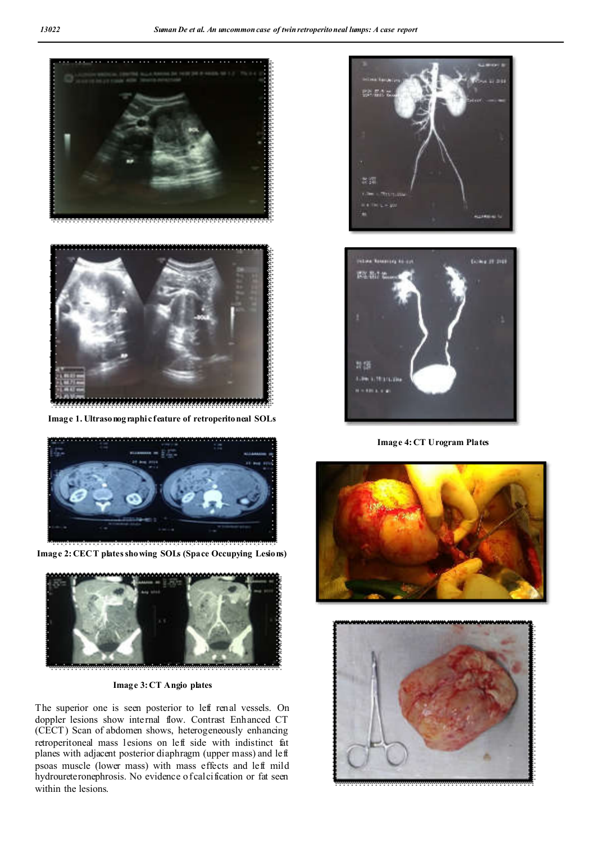



**Image 1. Ultrasonographic feature of retroperitoneal SOLs**



**Image 2: CECT plates showing SOLs (Space Occupying Lesions)**



**Image 3: CT Angio plates**

The superior one is seen posterior to left renal vessels. On doppler lesions show internal flow. Contrast Enhanced CT (CECT) Scan of abdomen shows, heterogeneously enhancing retroperitoneal mass lesions on left side with indistinct fat planes with adjacent posterior diaphragm (upper mass) and left psoas muscle (lower mass) with mass effects and left mild hydroureteronephrosis. No evidence of calcification or fat seen within the lesions.





**Image 4: CT Urogram Plates**